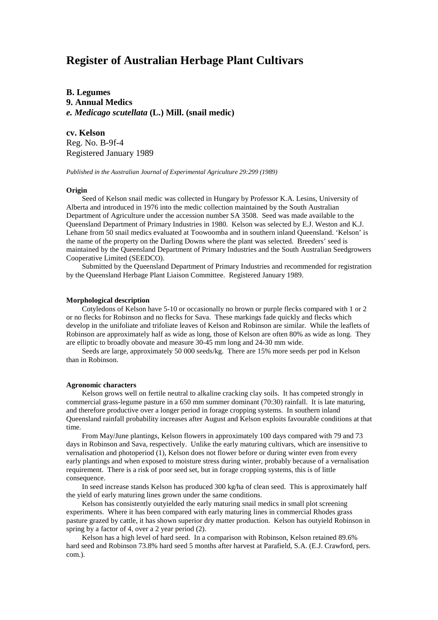# **Register of Australian Herbage Plant Cultivars**

**B. Legumes 9. Annual Medics** *e. Medicago scutellata* **(L.) Mill. (snail medic)**

**cv. Kelson** Reg. No. B-9f-4 Registered January 1989

*Published in the Australian Journal of Experimental Agriculture 29:299 (1989)*

### **Origin**

Seed of Kelson snail medic was collected in Hungary by Professor K.A. Lesins, University of Alberta and introduced in 1976 into the medic collection maintained by the South Australian Department of Agriculture under the accession number SA 3508. Seed was made available to the Queensland Department of Primary Industries in 1980. Kelson was selected by E.J. Weston and K.J. Lehane from 50 snail medics evaluated at Toowoomba and in southern inland Queensland. 'Kelson' is the name of the property on the Darling Downs where the plant was selected. Breeders' seed is maintained by the Queensland Department of Primary Industries and the South Australian Seedgrowers Cooperative Limited (SEEDCO).

Submitted by the Queensland Department of Primary Industries and recommended for registration by the Queensland Herbage Plant Liaison Committee. Registered January 1989.

#### **Morphological description**

Cotyledons of Kelson have 5-10 or occasionally no brown or purple flecks compared with 1 or 2 or no flecks for Robinson and no flecks for Sava. These markings fade quickly and flecks which develop in the unifoliate and trifoliate leaves of Kelson and Robinson are similar. While the leaflets of Robinson are approximately half as wide as long, those of Kelson are often 80% as wide as long. They are elliptic to broadly obovate and measure 30-45 mm long and 24-30 mm wide.

Seeds are large, approximately 50 000 seeds/kg. There are 15% more seeds per pod in Kelson than in Robinson.

### **Agronomic characters**

Kelson grows well on fertile neutral to alkaline cracking clay soils. It has competed strongly in commercial grass-legume pasture in a 650 mm summer dominant (70:30) rainfall. It is late maturing, and therefore productive over a longer period in forage cropping systems. In southern inland Queensland rainfall probability increases after August and Kelson exploits favourable conditions at that time.

From May/June plantings, Kelson flowers in approximately 100 days compared with 79 and 73 days in Robinson and Sava, respectively. Unlike the early maturing cultivars, which are insensitive to vernalisation and photoperiod (1), Kelson does not flower before or during winter even from every early plantings and when exposed to moisture stress during winter, probably because of a vernalisation requirement. There is a risk of poor seed set, but in forage cropping systems, this is of little consequence.

In seed increase stands Kelson has produced 300 kg/ha of clean seed. This is approximately half the yield of early maturing lines grown under the same conditions.

Kelson has consistently outyielded the early maturing snail medics in small plot screening experiments. Where it has been compared with early maturing lines in commercial Rhodes grass pasture grazed by cattle, it has shown superior dry matter production. Kelson has outyield Robinson in spring by a factor of 4, over a 2 year period (2).

Kelson has a high level of hard seed. In a comparison with Robinson, Kelson retained 89.6% hard seed and Robinson 73.8% hard seed 5 months after harvest at Parafield, S.A. (E.J. Crawford, pers. com.).